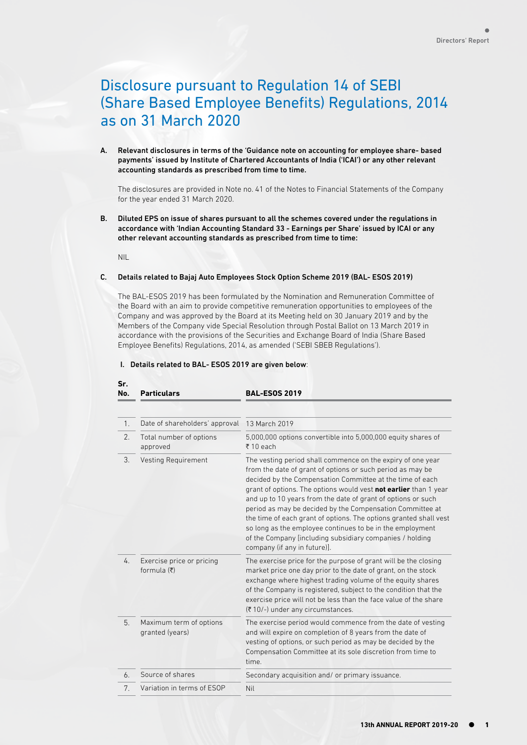# Disclosure pursuant to Regulation 14 of SEBI (Share Based Employee Benefits) Regulations, 2014 as on 31 March 2020

A. Relevant disclosures in terms of the 'Guidance note on accounting for employee share- based payments' issued by Institute of Chartered Accountants of India ('ICAI') or any other relevant accounting standards as prescribed from time to time.

The disclosures are provided in Note no. 41 of the Notes to Financial Statements of the Company for the year ended 31 March 2020.

B. Diluted EPS on issue of shares pursuant to all the schemes covered under the regulations in accordance with 'Indian Accounting Standard 33 - Earnings per Share' issued by ICAI or any other relevant accounting standards as prescribed from time to time:

NIL

**Sr.** 

#### C. Details related to Bajaj Auto Employees Stock Option Scheme 2019 (BAL- ESOS 2019)

The BAL-ESOS 2019 has been formulated by the Nomination and Remuneration Committee of the Board with an aim to provide competitive remuneration opportunities to employees of the Company and was approved by the Board at its Meeting held on 30 January 2019 and by the Members of the Company vide Special Resolution through Postal Ballot on 13 March 2019 in accordance with the provisions of the Securities and Exchange Board of India (Share Based Employee Benefits) Regulations, 2014, as amended ('SEBI SBEB Regulations').

|  |  |  |  | I. Details related to BAL-ESOS 2019 are given below: |
|--|--|--|--|------------------------------------------------------|
|--|--|--|--|------------------------------------------------------|

| No.           | <b>Particulars</b>                                  | <b>BAL-ESOS 2019</b>                                                                                                                                                                                                                                                                                                                                                                                                                                                                                                                                                                                                  |
|---------------|-----------------------------------------------------|-----------------------------------------------------------------------------------------------------------------------------------------------------------------------------------------------------------------------------------------------------------------------------------------------------------------------------------------------------------------------------------------------------------------------------------------------------------------------------------------------------------------------------------------------------------------------------------------------------------------------|
|               |                                                     |                                                                                                                                                                                                                                                                                                                                                                                                                                                                                                                                                                                                                       |
| 1.            | Date of shareholders' approval                      | 13 March 2019                                                                                                                                                                                                                                                                                                                                                                                                                                                                                                                                                                                                         |
| 2.            | Total number of options<br>approved                 | 5,000,000 options convertible into 5,000,000 equity shares of<br>₹10 each                                                                                                                                                                                                                                                                                                                                                                                                                                                                                                                                             |
| 3.            | Vesting Requirement                                 | The vesting period shall commence on the expiry of one year<br>from the date of grant of options or such period as may be<br>decided by the Compensation Committee at the time of each<br>grant of options. The options would vest not earlier than 1 year<br>and up to 10 years from the date of grant of options or such<br>period as may be decided by the Compensation Committee at<br>the time of each grant of options. The options granted shall vest<br>so long as the employee continues to be in the employment<br>of the Company [including subsidiary companies / holding<br>company (if any in future)]. |
| $\frac{1}{4}$ | Exercise price or pricing<br>formula $(\bar{\tau})$ | The exercise price for the purpose of grant will be the closing<br>market price one day prior to the date of grant, on the stock<br>exchange where highest trading volume of the equity shares<br>of the Company is registered, subject to the condition that the<br>exercise price will not be less than the face value of the share<br>(₹10/-) under any circumstances.                                                                                                                                                                                                                                             |
| 5.            | Maximum term of options<br>granted (years)          | The exercise period would commence from the date of vesting<br>and will expire on completion of 8 years from the date of<br>vesting of options, or such period as may be decided by the<br>Compensation Committee at its sole discretion from time to<br>time.                                                                                                                                                                                                                                                                                                                                                        |
| 6.            | Source of shares                                    | Secondary acquisition and/ or primary issuance.                                                                                                                                                                                                                                                                                                                                                                                                                                                                                                                                                                       |
| 7.            | Variation in terms of ESOP                          | Nil                                                                                                                                                                                                                                                                                                                                                                                                                                                                                                                                                                                                                   |

### I. Details related to BAL- ESOS 2019 are given below: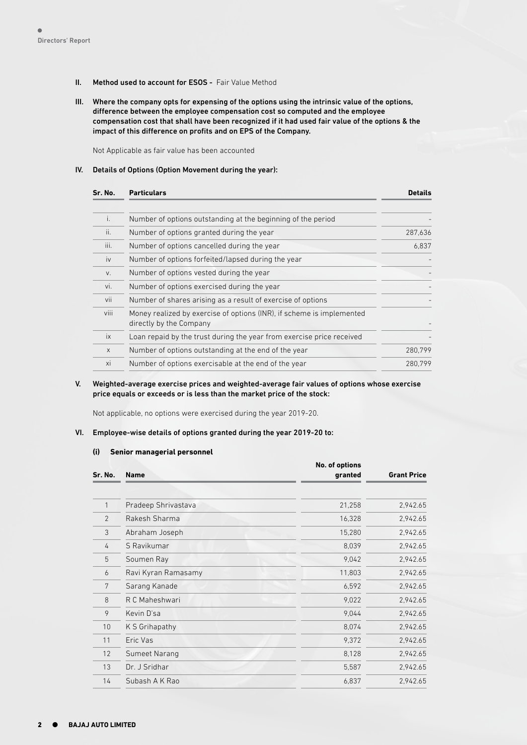#### II. Method used to account for ESOS - Fair Value Method

III. Where the company opts for expensing of the options using the intrinsic value of the options, difference between the employee compensation cost so computed and the employee compensation cost that shall have been recognized if it had used fair value of the options & the impact of this difference on profits and on EPS of the Company.

Not Applicable as fair value has been accounted

#### IV. Details of Options (Option Movement during the year):

| Sr. No.      | <b>Particulars</b>                                                                               | <b>Details</b> |
|--------------|--------------------------------------------------------------------------------------------------|----------------|
| i.           | Number of options outstanding at the beginning of the period                                     |                |
| ii.          | Number of options granted during the year                                                        | 287,636        |
| iii.         | Number of options cancelled during the year                                                      | 6,837          |
| iv           | Number of options forfeited/lapsed during the year                                               |                |
| V.           | Number of options vested during the year                                                         |                |
| vi.          | Number of options exercised during the year                                                      |                |
| vii          | Number of shares arising as a result of exercise of options                                      |                |
| viii         | Money realized by exercise of options (INR), if scheme is implemented<br>directly by the Company |                |
| ix           | Loan repaid by the trust during the year from exercise price received                            |                |
| $\mathsf{X}$ | Number of options outstanding at the end of the year                                             | 280,799        |
| xi           | Number of options exercisable at the end of the year                                             | 280.799        |

#### V. Weighted-average exercise prices and weighted-average fair values of options whose exercise price equals or exceeds or is less than the market price of the stock:

Not applicable, no options were exercised during the year 2019-20.

#### VI. Employee-wise details of options granted during the year 2019-20 to:

#### **(i) Senior managerial personnel**

|                |                     | No. of options |                    |
|----------------|---------------------|----------------|--------------------|
| Sr. No.        | <b>Name</b>         | granted        | <b>Grant Price</b> |
|                |                     |                |                    |
| 1              | Pradeep Shrivastava | 21,258         | 2,942.65           |
| $\overline{2}$ | Rakesh Sharma       | 16,328         | 2,942.65           |
| 3              | Abraham Joseph      | 15,280         | 2,942.65           |
| 4              | S Ravikumar         | 8,039          | 2,942.65           |
| 5              | Soumen Ray          | 9,042          | 2,942.65           |
| 6              | Ravi Kyran Ramasamy | 11,803         | 2,942.65           |
| 7              | Sarang Kanade       | 6,592          | 2,942.65           |
| 8              | R C Maheshwari      | 9,022          | 2,942.65           |
| 9              | Kevin D'sa          | 9,044          | 2,942.65           |
| 10             | K S Grihapathy      | 8,074          | 2,942.65           |
| 11             | Eric Vas            | 9,372          | 2,942.65           |
| 12             | Sumeet Narang       | 8,128          | 2,942.65           |
| 13             | Dr. J Sridhar       | 5,587          | 2,942.65           |
| 14             | Subash A K Rao      | 6,837          | 2,942.65           |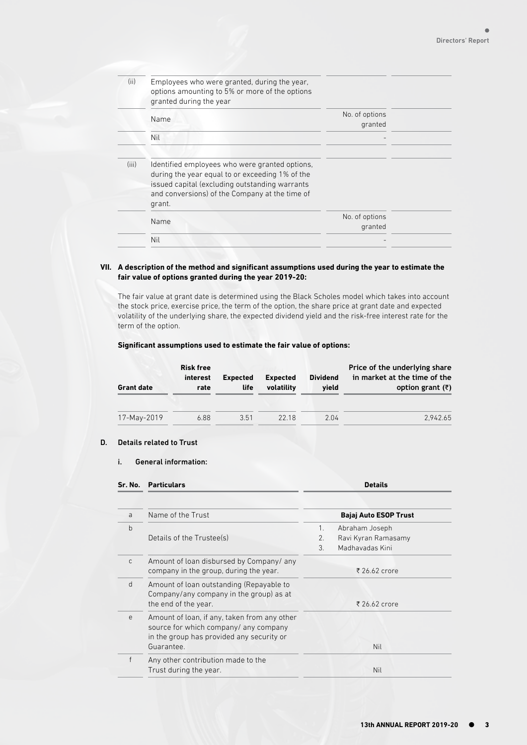| (ii)  | Employees who were granted, during the year,<br>options amounting to 5% or more of the options<br>granted during the year                                                                                       |                           |  |
|-------|-----------------------------------------------------------------------------------------------------------------------------------------------------------------------------------------------------------------|---------------------------|--|
|       | Name                                                                                                                                                                                                            | No. of options<br>granted |  |
|       | Nil                                                                                                                                                                                                             |                           |  |
| (iii) | Identified employees who were granted options,<br>during the year equal to or exceeding 1% of the<br>issued capital (excluding outstanding warrants<br>and conversions) of the Company at the time of<br>grant. |                           |  |
|       | Name                                                                                                                                                                                                            | No. of options<br>granted |  |
|       | Nil                                                                                                                                                                                                             |                           |  |
|       |                                                                                                                                                                                                                 |                           |  |

#### **VII. A description of the method and significant assumptions used during the year to estimate the fair value of options granted during the year 2019-20:**

The fair value at grant date is determined using the Black Scholes model which takes into account the stock price, exercise price, the term of the option, the share price at grant date and expected volatility of the underlying share, the expected dividend yield and the risk-free interest rate for the term of the option.

#### **Significant assumptions used to estimate the fair value of options:**

| <b>Grant date</b> | <b>Risk free</b><br>interest<br>rate | <b>Expected</b><br>life | <b>Expected</b><br>volatility | <b>Dividend</b><br>vield | Price of the underlying share<br>in market at the time of the<br>option grant $(\bar{z})$ |
|-------------------|--------------------------------------|-------------------------|-------------------------------|--------------------------|-------------------------------------------------------------------------------------------|
| 17-May-2019       | 6.88                                 | 3.51                    | 22.18                         | 2 04                     | 2.942.65                                                                                  |

### D. Details related to Trust

#### i. General information:

| Sr. No. | <b>Particulars</b>                                                                                                                               | <b>Details</b> |                              |
|---------|--------------------------------------------------------------------------------------------------------------------------------------------------|----------------|------------------------------|
|         |                                                                                                                                                  |                |                              |
|         | Name of the Trust                                                                                                                                |                | <b>Bajaj Auto ESOP Trust</b> |
|         |                                                                                                                                                  | $1_{\cdot}$    | Abraham Joseph               |
|         | Details of the Trustee(s)                                                                                                                        | 2.             | Ravi Kyran Ramasamy          |
|         |                                                                                                                                                  | 3              | Madhavadas Kini              |
|         | Amount of loan disbursed by Company/ any<br>company in the group, during the year.                                                               |                | ₹ 26.62 crore                |
|         | Amount of loan outstanding (Repayable to<br>Company/any company in the group) as at<br>the end of the year.                                      |                | ₹ 26.62 crore                |
|         | Amount of loan, if any, taken from any other<br>source for which company/ any company<br>in the group has provided any security or<br>Guarantee. |                | Nil                          |
|         | Any other contribution made to the<br>Trust during the year.                                                                                     |                | Nil                          |